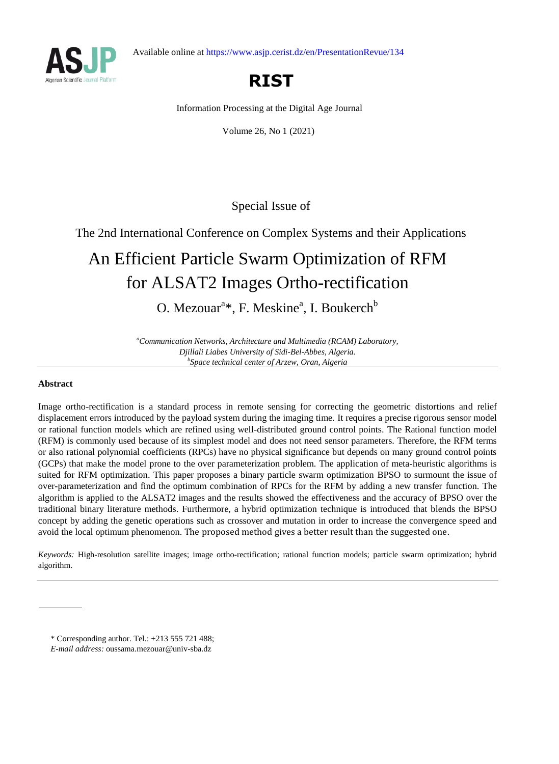



## **RIST**

Information Processing at the Digital Age Journal

Volume 26, No 1 (2021)

Special Issue of

The 2nd International Conference on Complex Systems and their Applications

# An Efficient Particle Swarm Optimization of RFM for ALSAT2 Images Ortho-rectification

O. Mezouar<sup>a\*</sup>, F. Meskine<sup>a</sup>, I. Boukerch<sup>b</sup>

*<sup>a</sup>Communication Networks, Architecture and Multimedia (RCAM) Laboratory, Djillali Liabes University of Sidi-Bel-Abbes, Algeria. b Space technical center of Arzew, Oran, Algeria*

## **Abstract**

Image ortho-rectification is a standard process in remote sensing for correcting the geometric distortions and relief displacement errors introduced by the payload system during the imaging time. It requires a precise rigorous sensor model or rational function models which are refined using well-distributed ground control points. The Rational function model (RFM) is commonly used because of its simplest model and does not need sensor parameters. Therefore, the RFM terms or also rational polynomial coefficients (RPCs) have no physical significance but depends on many ground control points (GCPs) that make the model prone to the over parameterization problem. The application of meta-heuristic algorithms is suited for RFM optimization. This paper proposes a binary particle swarm optimization BPSO to surmount the issue of over-parameterization and find the optimum combination of RPCs for the RFM by adding a new transfer function. The algorithm is applied to the ALSAT2 images and the results showed the effectiveness and the accuracy of BPSO over the traditional binary literature methods. Furthermore, a hybrid optimization technique is introduced that blends the BPSO concept by adding the genetic operations such as crossover and mutation in order to increase the convergence speed and avoid the local optimum phenomenon. The proposed method gives a better result than the suggested one.

*Keywords:* High-resolution satellite images; image ortho-rectification; rational function models; particle swarm optimization; hybrid algorithm.

<sup>\*</sup> Corresponding author. Tel.: +213 555 721 488;

*E-mail address:* oussama.mezouar@univ-sba.dz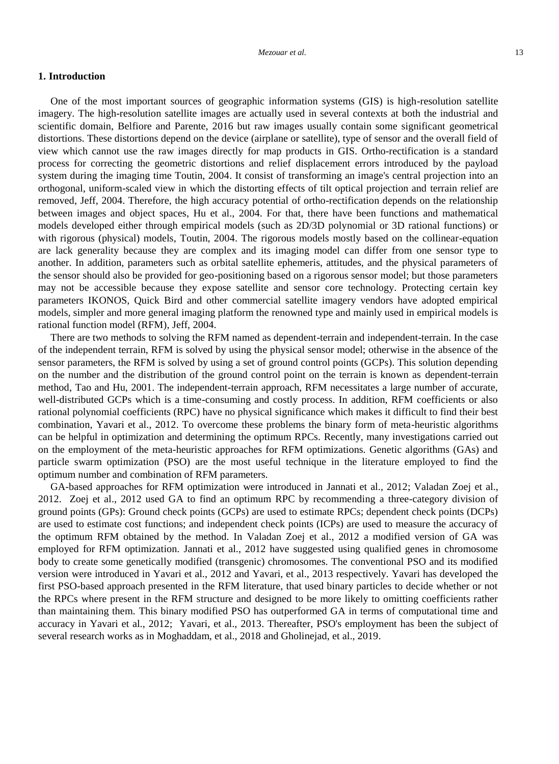## **1. Introduction**

One of the most important sources of geographic information systems (GIS) is high-resolution satellite imagery. The high-resolution satellite images are actually used in several contexts at both the industrial and scientific domain, Belfiore and Parente, 2016 but raw images usually contain some significant geometrical distortions. These distortions depend on the device (airplane or satellite), type of sensor and the overall field of view which cannot use the raw images directly for map products in GIS. Ortho-rectification is a standard process for correcting the geometric distortions and relief displacement errors introduced by the payload system during the imaging time Toutin, 2004. It consist of transforming an image's central projection into an orthogonal, uniform-scaled view in which the distorting effects of tilt optical projection and terrain relief are removed, Jeff, 2004. Therefore, the high accuracy potential of ortho-rectification depends on the relationship between images and object spaces, Hu et al., 2004. For that, there have been functions and mathematical models developed either through empirical models (such as 2D/3D polynomial or 3D rational functions) or with rigorous (physical) models, Toutin, 2004. The rigorous models mostly based on the collinear-equation are lack generality because they are complex and its imaging model can differ from one sensor type to another. In addition, parameters such as orbital satellite ephemeris, attitudes, and the physical parameters of the sensor should also be provided for geo-positioning based on a rigorous sensor model; but those parameters may not be accessible because they expose satellite and sensor core technology. Protecting certain key parameters IKONOS, Quick Bird and other commercial satellite imagery vendors have adopted empirical models, simpler and more general imaging platform the renowned type and mainly used in empirical models is rational function model (RFM), Jeff, 2004.

There are two methods to solving the RFM named as dependent-terrain and independent-terrain. In the case of the independent terrain, RFM is solved by using the physical sensor model; otherwise in the absence of the sensor parameters, the RFM is solved by using a set of ground control points (GCPs). This solution depending on the number and the distribution of the ground control point on the terrain is known as dependent-terrain method, Tao and Hu, 2001. The independent-terrain approach, RFM necessitates a large number of accurate, well-distributed GCPs which is a time-consuming and costly process. In addition, RFM coefficients or also rational polynomial coefficients (RPC) have no physical significance which makes it difficult to find their best combination, Yavari et al., 2012. To overcome these problems the binary form of meta-heuristic algorithms can be helpful in optimization and determining the optimum RPCs. Recently, many investigations carried out on the employment of the meta-heuristic approaches for RFM optimizations. Genetic algorithms (GAs) and particle swarm optimization (PSO) are the most useful technique in the literature employed to find the optimum number and combination of RFM parameters.

GA-based approaches for RFM optimization were introduced in Jannati et al., 2012; Valadan Zoej et al., 2012. Zoej et al., 2012 used GA to find an optimum RPC by recommending a three-category division of ground points (GPs): Ground check points (GCPs) are used to estimate RPCs; dependent check points (DCPs) are used to estimate cost functions; and independent check points (ICPs) are used to measure the accuracy of the optimum RFM obtained by the method. In Valadan Zoej et al., 2012 a modified version of GA was employed for RFM optimization. Jannati et al., 2012 have suggested using qualified genes in chromosome body to create some genetically modified (transgenic) chromosomes. The conventional PSO and its modified version were introduced in Yavari et al., 2012 and Yavari, et al., 2013 respectively. Yavari has developed the first PSO-based approach presented in the RFM literature, that used binary particles to decide whether or not the RPCs where present in the RFM structure and designed to be more likely to omitting coefficients rather than maintaining them. This binary modified PSO has outperformed GA in terms of computational time and accuracy in Yavari et al., 2012; Yavari, et al., 2013. Thereafter, PSO's employment has been the subject of several research works as in Moghaddam, et al., 2018 and Gholinejad, et al., 2019.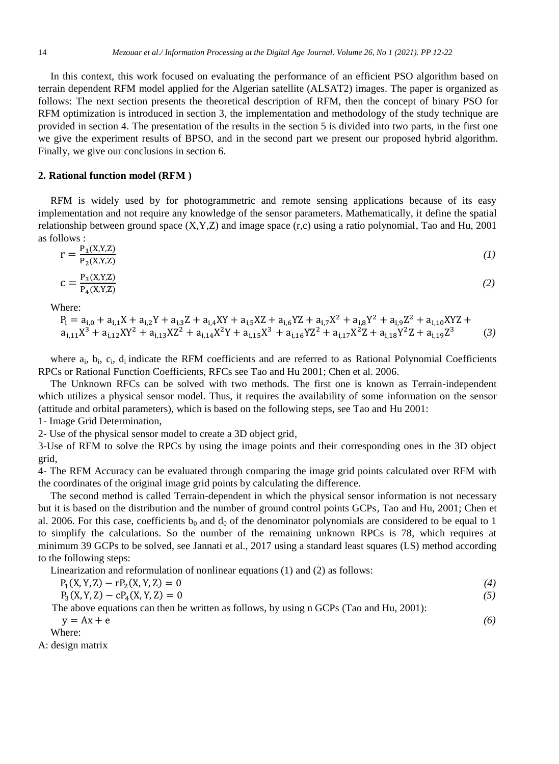In this context, this work focused on evaluating the performance of an efficient PSO algorithm based on terrain dependent RFM model applied for the Algerian satellite (ALSAT2) images. The paper is organized as follows: The next section presents the theoretical description of RFM, then the concept of binary PSO for RFM optimization is introduced in section 3, the implementation and methodology of the study technique are provided in section 4. The presentation of the results in the section 5 is divided into two parts, in the first one we give the experiment results of BPSO, and in the second part we present our proposed hybrid algorithm. Finally, we give our conclusions in section 6.

#### **2. Rational function model (RFM )**

RFM is widely used by for photogrammetric and remote sensing applications because of its easy implementation and not require any knowledge of the sensor parameters. Mathematically, it define the spatial relationship between ground space (X,Y,Z) and image space (r,c) using a ratio polynomial, Tao and Hu, 2001 as follows :

$$
r = \frac{P_1(X,Y,Z)}{P_2(X,Y,Z)}\tag{1}
$$

$$
c = \frac{P_3(X, Y, Z)}{P_4(X, Y, Z)}\tag{2}
$$

Where:

$$
P_i = a_{i,0} + a_{i,1}X + a_{i,2}Y + a_{i,3}Z + a_{i,4}XY + a_{i,5}XZ + a_{i,6}YZ + a_{i,7}X^2 + a_{i,8}Y^2 + a_{i,9}Z^2 + a_{i,10}XYZ + a_{i,11}X^3 + a_{i,12}XYZ^2 + a_{i,14}X^2Y + a_{i,15}X^3 + a_{i,16}YZ^2 + a_{i,17}X^2Z + a_{i,18}Y^2Z + a_{i,19}Z^3
$$
 (3)

where  $a_i$ ,  $b_i$ ,  $c_i$ ,  $d_i$  indicate the RFM coefficients and are referred to as Rational Polynomial Coefficients RPCs or Rational Function Coefficients, RFCs see Tao and Hu 2001; Chen et al. 2006.

The Unknown RFCs can be solved with two methods. The first one is known as Terrain-independent which utilizes a physical sensor model. Thus, it requires the availability of some information on the sensor (attitude and orbital parameters), which is based on the following steps, see Tao and Hu 2001:

1- Image Grid Determination,

2- Use of the physical sensor model to create a 3D object grid,

3-Use of RFM to solve the RPCs by using the image points and their corresponding ones in the 3D object grid,

4- The RFM Accuracy can be evaluated through comparing the image grid points calculated over RFM with the coordinates of the original image grid points by calculating the difference.

The second method is called Terrain-dependent in which the physical sensor information is not necessary but it is based on the distribution and the number of ground control points GCPs, Tao and Hu, 2001; Chen et al. 2006. For this case, coefficients  $b_0$  and  $d_0$  of the denominator polynomials are considered to be equal to 1 to simplify the calculations. So the number of the remaining unknown RPCs is 78, which requires at minimum 39 GCPs to be solved, see Jannati et al., 2017 using a standard least squares (LS) method according to the following steps:

Linearization and reformulation of nonlinear equations (1) and (2) as follows:

$$
P_1(X, Y, Z) - r P_2(X, Y, Z) = 0
$$
\n
$$
P_1(X, Y, Z) - r P_1(X, Y, Z) = 0
$$
\n
$$
P_2(X, Y, Z) - r P_2(X, Y, Z) = 0
$$
\n
$$
P_1(X, Y, Z) - r P_2(X, Y, Z) = 0
$$

$$
P_3(X, Y, Z) - cP_4(X, Y, Z) = 0
$$
  
The above equations can then be written as follows, by using n GCPs (Tao and Hu, 2001): (5)

 $y = Ax + e$  (6)

$$
\frac{1}{\text{Where}}
$$

A: design matrix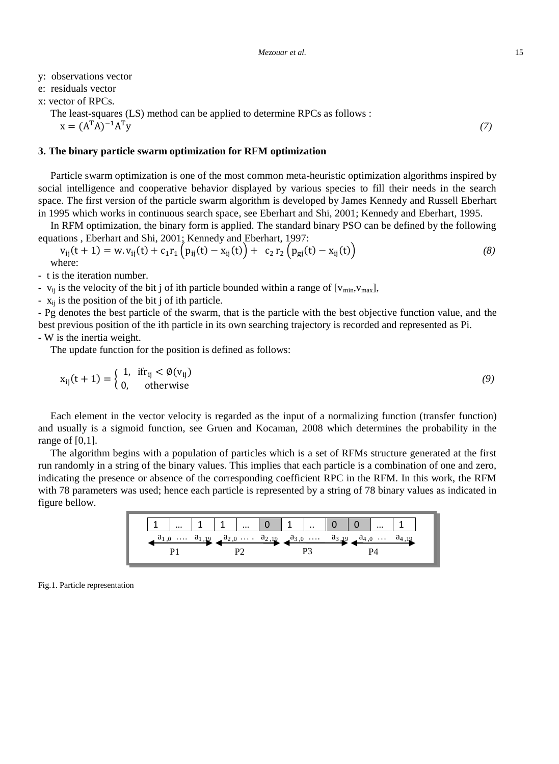y: observations vector

e: residuals vector

x: vector of RPCs.

The least-squares (LS) method can be applied to determine RPCs as follows :  $x = (A^T A)^{-1}$  $T_y$  (7)

#### **3. The binary particle swarm optimization for RFM optimization**

Particle swarm optimization is one of the most common meta-heuristic optimization algorithms inspired by social intelligence and cooperative behavior displayed by various species to fill their needs in the search space. The first version of the particle swarm algorithm is developed by James Kennedy and Russell Eberhart in 1995 which works in continuous search space, see Eberhart and Shi, 2001; Kennedy and Eberhart, 1995.

In RFM optimization, the binary form is applied. The standard binary PSO can be defined by the following equations , Eberhart and Shi, 2001; Kennedy and Eberhart, 1997:

$$
v_{ij}(t+1) = w. v_{ij}(t) + c_1 r_1 (p_{ij}(t) - x_{ij}(t)) + c_2 r_2 (p_{gj}(t) - x_{ij}(t))
$$
\n(8)

- t is the iteration number.

-  $v_{ii}$  is the velocity of the bit j of ith particle bounded within a range of  $[v_{min},v_{max}]$ ,

-  $x_{ij}$  is the position of the bit j of ith particle.

- Pg denotes the best particle of the swarm, that is the particle with the best objective function value, and the best previous position of the ith particle in its own searching trajectory is recorded and represented as Pi.

## - W is the inertia weight.

The update function for the position is defined as follows:

$$
x_{ij}(t+1) = \begin{cases} 1, & \text{if } r_{ij} < \emptyset(v_{ij}) \\ 0, & \text{otherwise} \end{cases}
$$
 (9)

Each element in the vector velocity is regarded as the input of a normalizing function (transfer function) and usually is a sigmoid function, see Gruen and Kocaman, 2008 which determines the probability in the range of [0,1].

The algorithm begins with a population of particles which is a set of RFMs structure generated at the first run randomly in a string of the binary values. This implies that each particle is a combination of one and zero, indicating the presence or absence of the corresponding coefficient RPC in the RFM. In this work, the RFM with 78 parameters was used; hence each particle is represented by a string of 78 binary values as indicated in figure bellow.



Fig.1. Particle representation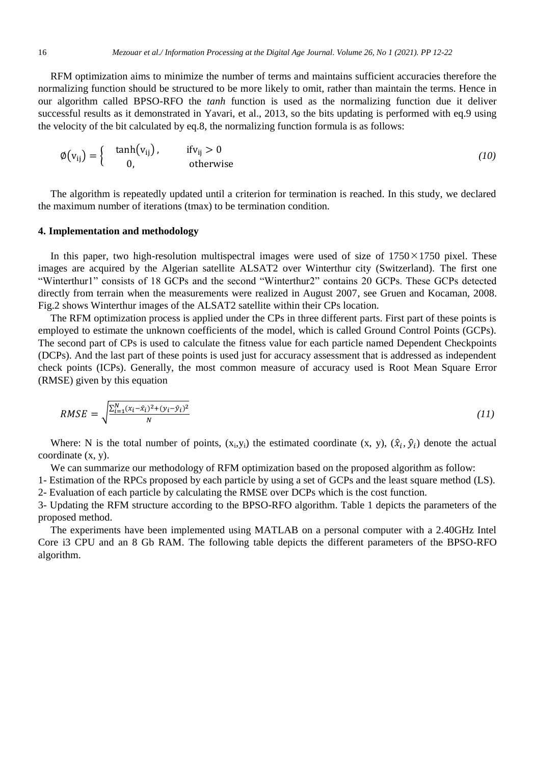RFM optimization aims to minimize the number of terms and maintains sufficient accuracies therefore the normalizing function should be structured to be more likely to omit, rather than maintain the terms. Hence in our algorithm called BPSO-RFO the *tanh* function is used as the normalizing function due it deliver successful results as it demonstrated in Yavari, et al., 2013, so the bits updating is performed with eq.9 using the velocity of the bit calculated by eq.8, the normalizing function formula is as follows:

$$
\varnothing\!\left(v_{ij}\right) = \left\{\begin{array}{cc} \tanh\!\left(v_{ij}\right), & \text{if } v_{ij} > 0\\ 0, & \text{otherwise} \end{array}\right.\tag{10}
$$

The algorithm is repeatedly updated until a criterion for termination is reached. In this study, we declared the maximum number of iterations (tmax) to be termination condition.

#### **4. Implementation and methodology**

In this paper, two high-resolution multispectral images were used of size of  $1750 \times 1750$  pixel. These images are acquired by the Algerian satellite ALSAT2 over Winterthur city (Switzerland). The first one "Winterthur1" consists of 18 GCPs and the second "Winterthur2" contains 20 GCPs. These GCPs detected directly from terrain when the measurements were realized in August 2007, see Gruen and Kocaman, 2008. Fig.2 shows Winterthur images of the ALSAT2 satellite within their CPs location.

The RFM optimization process is applied under the CPs in three different parts. First part of these points is employed to estimate the unknown coefficients of the model, which is called Ground Control Points (GCPs). The second part of CPs is used to calculate the fitness value for each particle named Dependent Checkpoints (DCPs). And the last part of these points is used just for accuracy assessment that is addressed as independent check points (ICPs). Generally, the most common measure of accuracy used is Root Mean Square Error (RMSE) given by this equation

$$
RMSE = \sqrt{\frac{\sum_{i=1}^{N} (x_i - \hat{x}_i)^2 + (y_i - \hat{y}_i)^2}{N}}
$$
(11)

Where: N is the total number of points,  $(x_i, y_i)$  the estimated coordinate  $(x, y)$ ,  $(\hat{x}_i, \hat{y}_i)$  denote the actual coordinate (x, y).

We can summarize our methodology of RFM optimization based on the proposed algorithm as follow:

1- Estimation of the RPCs proposed by each particle by using a set of GCPs and the least square method (LS). 2- Evaluation of each particle by calculating the RMSE over DCPs which is the cost function.

3- Updating the RFM structure according to the BPSO-RFO algorithm. Table 1 depicts the parameters of the

proposed method.

The experiments have been implemented using MATLAB on a personal computer with a 2.40GHz Intel Core i3 CPU and an 8 Gb RAM. The following table depicts the different parameters of the BPSO-RFO algorithm.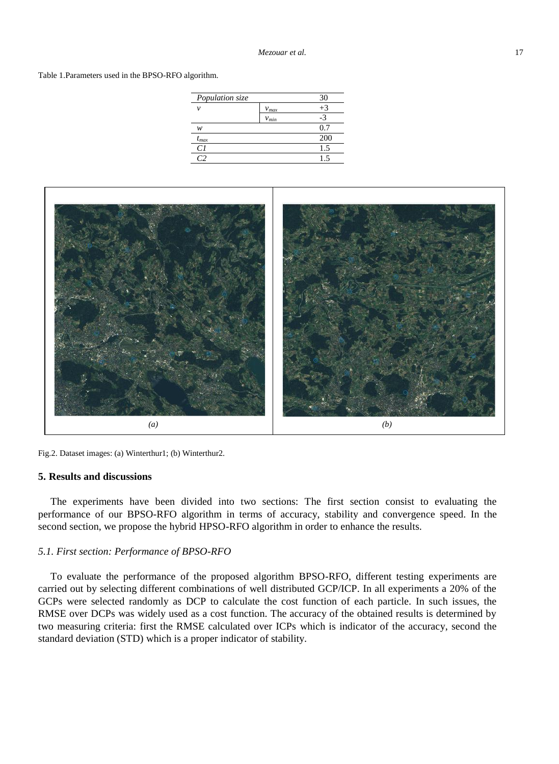Table 1.Parameters used in the BPSO-RFO algorithm.

| Population size |           | 30   |  |
|-----------------|-----------|------|--|
| ν               | $v_{max}$ | $+3$ |  |
|                 | $v_{min}$ | $-3$ |  |
| w               |           | 0.7  |  |
| $t_{max}$       |           | 200  |  |
| C1              |           | 1.5  |  |
|                 |           | 1.5  |  |
|                 |           |      |  |



Fig.2. Dataset images: (a) Winterthur1; (b) Winterthur2.

## **5. Results and discussions**

The experiments have been divided into two sections: The first section consist to evaluating the performance of our BPSO-RFO algorithm in terms of accuracy, stability and convergence speed. In the second section, we propose the hybrid HPSO-RFO algorithm in order to enhance the results.

#### *5.1. First section: Performance of BPSO-RFO*

To evaluate the performance of the proposed algorithm BPSO-RFO, different testing experiments are carried out by selecting different combinations of well distributed GCP/ICP. In all experiments a 20% of the GCPs were selected randomly as DCP to calculate the cost function of each particle. In such issues, the RMSE over DCPs was widely used as a cost function. The accuracy of the obtained results is determined by two measuring criteria: first the RMSE calculated over ICPs which is indicator of the accuracy, second the standard deviation (STD) which is a proper indicator of stability.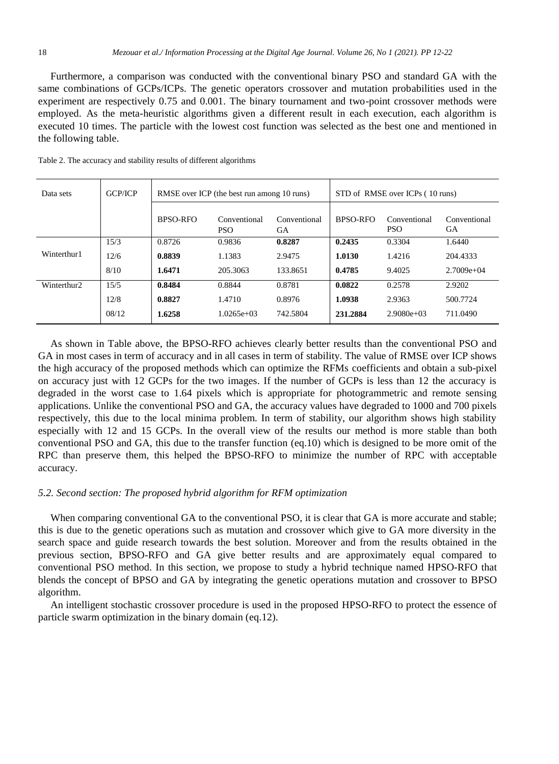Furthermore, a comparison was conducted with the conventional binary PSO and standard GA with the same combinations of GCPs/ICPs. The genetic operators crossover and mutation probabilities used in the experiment are respectively 0.75 and 0.001. The binary tournament and two-point crossover methods were employed. As the meta-heuristic algorithms given a different result in each execution, each algorithm is executed 10 times. The particle with the lowest cost function was selected as the best one and mentioned in the following table.

| Data sets   | <b>GCP/ICP</b> | RMSE over ICP (the best run among 10 runs) |                            |                           | STD of RMSE over ICPs (10 runs) |                            |                    |
|-------------|----------------|--------------------------------------------|----------------------------|---------------------------|---------------------------------|----------------------------|--------------------|
|             |                | BPSO-RFO                                   | Conventional<br><b>PSO</b> | Conventional<br><b>GA</b> | BPSO-RFO                        | Conventional<br><b>PSO</b> | Conventional<br>GА |
|             | 15/3           | 0.8726                                     | 0.9836                     | 0.8287                    | 0.2435                          | 0.3304                     | 1.6440             |
| Winterthur1 | 12/6           | 0.8839                                     | 1.1383                     | 2.9475                    | 1.0130                          | 1.4216                     | 204.4333           |
|             | 8/10           | 1.6471                                     | 205.3063                   | 133.8651                  | 0.4785                          | 9.4025                     | $2.7009e+04$       |
| Winterthur2 | 15/5           | 0.8484                                     | 0.8844                     | 0.8781                    | 0.0822                          | 0.2578                     | 2.9202             |
|             | 12/8           | 0.8827                                     | 1.4710                     | 0.8976                    | 1.0938                          | 2.9363                     | 500.7724           |
|             | 08/12          | 1.6258                                     | $1.0265e+03$               | 742.5804                  | 231.2884                        | $2.9080e+03$               | 711.0490           |

Table 2. The accuracy and stability results of different algorithms

As shown in Table above, the BPSO-RFO achieves clearly better results than the conventional PSO and GA in most cases in term of accuracy and in all cases in term of stability. The value of RMSE over ICP shows the high accuracy of the proposed methods which can optimize the RFMs coefficients and obtain a sub-pixel on accuracy just with 12 GCPs for the two images. If the number of GCPs is less than 12 the accuracy is degraded in the worst case to 1.64 pixels which is appropriate for photogrammetric and remote sensing applications. Unlike the conventional PSO and GA, the accuracy values have degraded to 1000 and 700 pixels respectively, this due to the local minima problem. In term of stability, our algorithm shows high stability especially with 12 and 15 GCPs. In the overall view of the results our method is more stable than both conventional PSO and GA, this due to the transfer function (eq.10) which is designed to be more omit of the RPC than preserve them, this helped the BPSO-RFO to minimize the number of RPC with acceptable accuracy.

## *5.2. Second section: The proposed hybrid algorithm for RFM optimization*

When comparing conventional GA to the conventional PSO, it is clear that GA is more accurate and stable; this is due to the genetic operations such as mutation and crossover which give to GA more diversity in the search space and guide research towards the best solution. Moreover and from the results obtained in the previous section, BPSO-RFO and GA give better results and are approximately equal compared to conventional PSO method. In this section, we propose to study a hybrid technique named HPSO-RFO that blends the concept of BPSO and GA by integrating the genetic operations mutation and crossover to BPSO algorithm.

An intelligent stochastic crossover procedure is used in the proposed HPSO-RFO to protect the essence of particle swarm optimization in the binary domain (eq.12).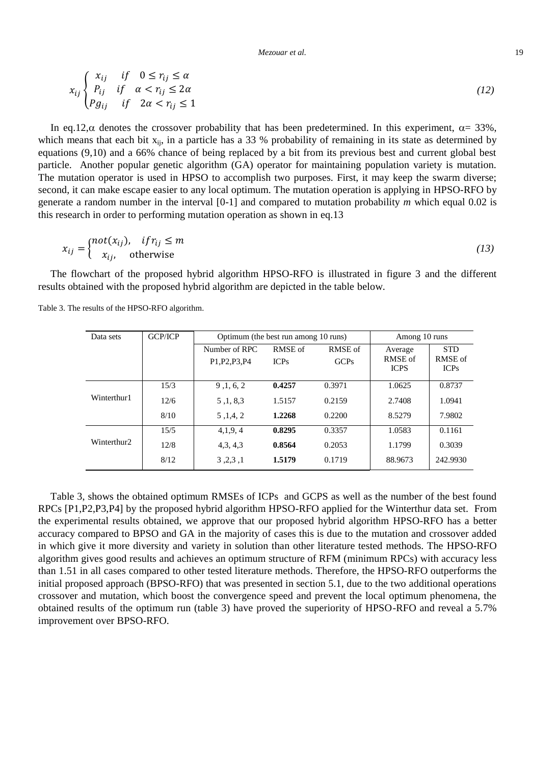*Mezouar et al.* 19

$$
x_{ij} \begin{cases} x_{ij} & if \quad 0 \le r_{ij} \le \alpha \\ P_{ij} & if \quad \alpha < r_{ij} \le 2\alpha \\ Pg_{ij} & if \quad 2\alpha < r_{ij} \le 1 \end{cases} \tag{12}
$$

In eq.12, $\alpha$  denotes the crossover probability that has been predetermined. In this experiment,  $\alpha = 33\%$ , which means that each bit  $x_{ii}$ , in a particle has a 33 % probability of remaining in its state as determined by equations (9,10) and a 66% chance of being replaced by a bit from its previous best and current global best particle. Another popular genetic algorithm (GA) operator for maintaining population variety is mutation. The mutation operator is used in HPSO to accomplish two purposes. First, it may keep the swarm diverse; second, it can make escape easier to any local optimum. The mutation operation is applying in HPSO-RFO by generate a random number in the interval [0-1] and compared to mutation probability *m* which equal 0.02 is this research in order to performing mutation operation as shown in eq.13

$$
x_{ij} = \begin{cases} not(x_{ij}), & if r_{ij} \le m \\ x_{ij}, & otherwise \end{cases}
$$
 (13)

The flowchart of the proposed hybrid algorithm HPSO-RFO is illustrated in figure 3 and the different results obtained with the proposed hybrid algorithm are depicted in the table below.

| Data sets   | <b>GCP/ICP</b> | Optimum (the best run among 10 runs) |                 | Among 10 runs   |                                   |                                      |
|-------------|----------------|--------------------------------------|-----------------|-----------------|-----------------------------------|--------------------------------------|
|             |                | Number of RPC<br>P1, P2, P3, P4      | RMSE of<br>ICPs | RMSE of<br>GCPs | Average<br>RMSE of<br><b>ICPS</b> | <b>STD</b><br>RMSE of<br><b>ICPs</b> |
|             | 15/3           | 9, 1, 6, 2                           | 0.4257          | 0.3971          | 1.0625                            | 0.8737                               |
| Winterthur1 | 12/6           | 5, 1, 8, 3                           | 1.5157          | 0.2159          | 2.7408                            | 1.0941                               |
|             | 8/10           | 5, 1, 4, 2                           | 1.2268          | 0.2200          | 8.5279                            | 7.9802                               |
|             | 15/5           | 4,1,9,4                              | 0.8295          | 0.3357          | 1.0583                            | 0.1161                               |
| Winterthur2 | 12/8           | 4, 3, 4, 3                           | 0.8564          | 0.2053          | 1.1799                            | 0.3039                               |
|             | 8/12           | 3, 2, 3, 1                           | 1.5179          | 0.1719          | 88.9673                           | 242.9930                             |

Table 3. The results of the HPSO-RFO algorithm.

Table 3, shows the obtained optimum RMSEs of ICPs and GCPS as well as the number of the best found RPCs [P1,P2,P3,P4] by the proposed hybrid algorithm HPSO-RFO applied for the Winterthur data set. From the experimental results obtained, we approve that our proposed hybrid algorithm HPSO-RFO has a better accuracy compared to BPSO and GA in the majority of cases this is due to the mutation and crossover added in which give it more diversity and variety in solution than other literature tested methods. The HPSO-RFO algorithm gives good results and achieves an optimum structure of RFM (minimum RPCs) with accuracy less than 1.51 in all cases compared to other tested literature methods. Therefore, the HPSO-RFO outperforms the initial proposed approach (BPSO-RFO) that was presented in section 5.1, due to the two additional operations crossover and mutation, which boost the convergence speed and prevent the local optimum phenomena, the obtained results of the optimum run (table 3) have proved the superiority of HPSO-RFO and reveal a 5.7% improvement over BPSO-RFO.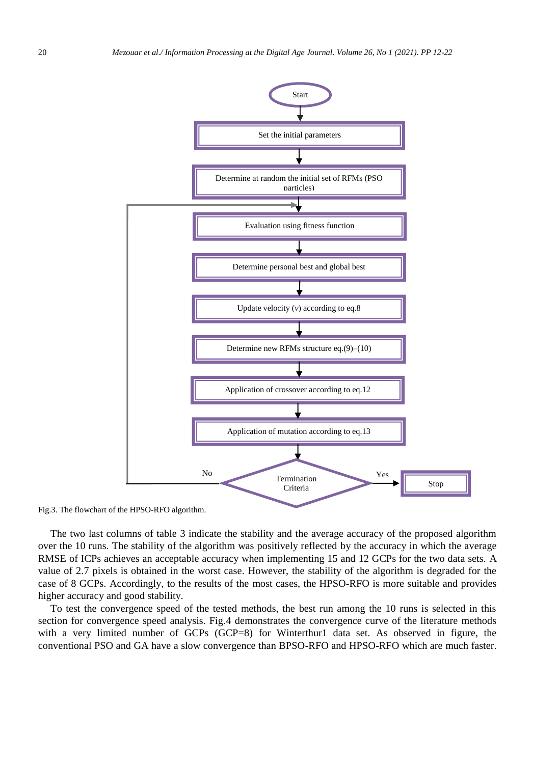

Fig.3. The flowchart of the HPSO-RFO algorithm.

The two last columns of table 3 indicate the stability and the average accuracy of the proposed algorithm over the 10 runs. The stability of the algorithm was positively reflected by the accuracy in which the average RMSE of ICPs achieves an acceptable accuracy when implementing 15 and 12 GCPs for the two data sets. A value of 2.7 pixels is obtained in the worst case. However, the stability of the algorithm is degraded for the case of 8 GCPs. Accordingly, to the results of the most cases, the HPSO-RFO is more suitable and provides higher accuracy and good stability.

To test the convergence speed of the tested methods, the best run among the 10 runs is selected in this section for convergence speed analysis. Fig.4 demonstrates the convergence curve of the literature methods with a very limited number of GCPs (GCP=8) for Winterthur1 data set. As observed in figure, the conventional PSO and GA have a slow convergence than BPSO-RFO and HPSO-RFO which are much faster.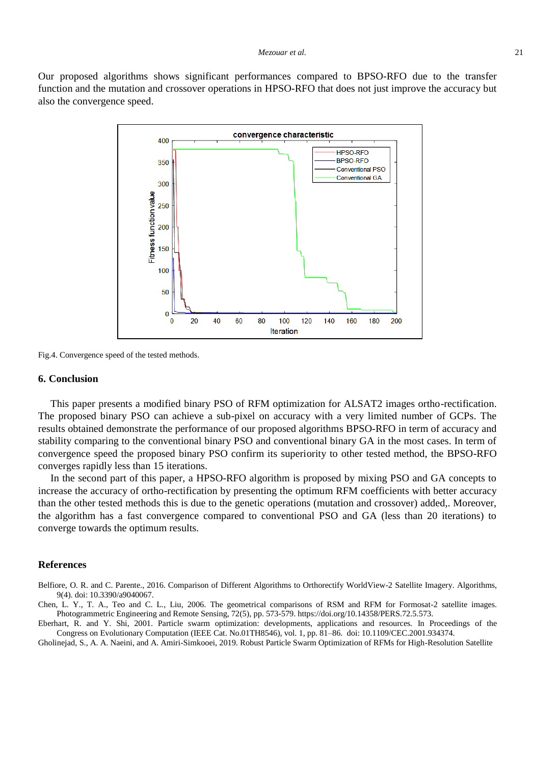Our proposed algorithms shows significant performances compared to BPSO-RFO due to the transfer function and the mutation and crossover operations in HPSO-RFO that does not just improve the accuracy but also the convergence speed.



Fig.4. Convergence speed of the tested methods.

#### **6. Conclusion**

This paper presents a modified binary PSO of RFM optimization for ALSAT2 images ortho-rectification. The proposed binary PSO can achieve a sub-pixel on accuracy with a very limited number of GCPs. The results obtained demonstrate the performance of our proposed algorithms BPSO-RFO in term of accuracy and stability comparing to the conventional binary PSO and conventional binary GA in the most cases. In term of convergence speed the proposed binary PSO confirm its superiority to other tested method, the BPSO-RFO converges rapidly less than 15 iterations.

In the second part of this paper, a HPSO-RFO algorithm is proposed by mixing PSO and GA concepts to increase the accuracy of ortho-rectification by presenting the optimum RFM coefficients with better accuracy than the other tested methods this is due to the genetic operations (mutation and crossover) added,. Moreover, the algorithm has a fast convergence compared to conventional PSO and GA (less than 20 iterations) to converge towards the optimum results.

#### **References**

Belfiore, O. R. and C. Parente., 2016. Comparison of Different Algorithms to Orthorectify WorldView-2 Satellite Imagery. Algorithms, 9(4). doi: 10.3390/a9040067.

Chen, L. Y., T. A., Teo and C. L., Liu, 2006. The geometrical comparisons of RSM and RFM for Formosat-2 satellite images. Photogrammetric Engineering and Remote Sensing, 72(5), pp. 573-579. https://doi.org/10.14358/PERS.72.5.573.

Eberhart, R. and Y. Shi, 2001. Particle swarm optimization: developments, applications and resources. In Proceedings of the Congress on Evolutionary Computation (IEEE Cat. No.01TH8546), vol. 1, pp. 81–86. doi: 10.1109/CEC.2001.934374.

Gholinejad, S., A. A. Naeini, and A. Amiri-Simkooei, 2019. Robust Particle Swarm Optimization of RFMs for High-Resolution Satellite